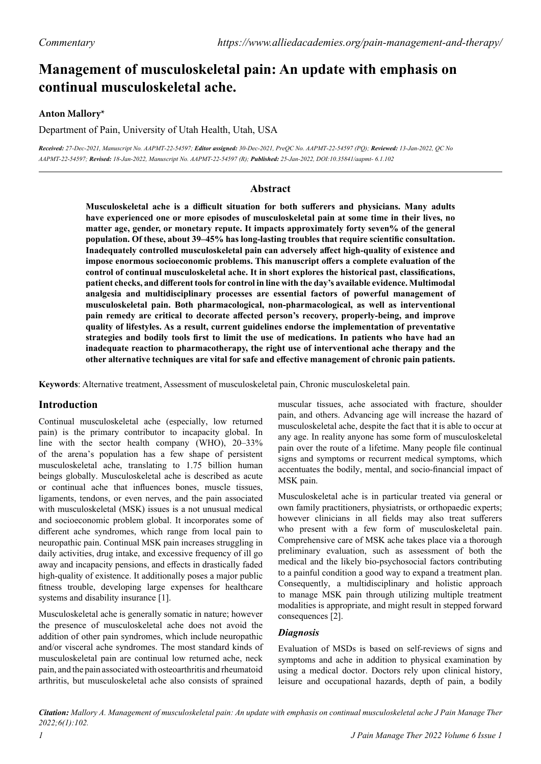# **Management of musculoskeletal pain: An update with emphasis on continual musculoskeletal ache.**

# **Anton Mallory\***

Department of Pain, University of Utah Health, Utah, USA

*Received: 27-Dec-2021, Manuscript No. AAPMT-22-54597; Editor assigned: 30-Dec-2021, PreQC No. AAPMT-22-54597 (PQ); Reviewed: 13-Jan-2022, QC No AAPMT-22-54597; Revised: 18-Jan-2022, Manuscript No. AAPMT-22-54597 (R); Published: 25-Jan-2022, DOI:10.35841/aapmt- 6.1.102*

# **Abstract**

**Musculoskeletal ache is a difficult situation for both sufferers and physicians. Many adults have experienced one or more episodes of musculoskeletal pain at some time in their lives, no matter age, gender, or monetary repute. It impacts approximately forty seven% of the general population. Of these, about 39–45% has long-lasting troubles that require scientific consultation. Inadequately controlled musculoskeletal pain can adversely affect high-quality of existence and impose enormous socioeconomic problems. This manuscript offers a complete evaluation of the control of continual musculoskeletal ache. It in short explores the historical past, classifications, patient checks, and different tools for control in line with the day's available evidence. Multimodal analgesia and multidisciplinary processes are essential factors of powerful management of musculoskeletal pain. Both pharmacological, non-pharmacological, as well as interventional pain remedy are critical to decorate affected person's recovery, properly-being, and improve quality of lifestyles. As a result, current guidelines endorse the implementation of preventative strategies and bodily tools first to limit the use of medications. In patients who have had an inadequate reaction to pharmacotherapy, the right use of interventional ache therapy and the other alternative techniques are vital for safe and effective management of chronic pain patients.**

**Keywords**: Alternative treatment, Assessment of musculoskeletal pain, Chronic musculoskeletal pain.

## **Introduction**

Continual musculoskeletal ache (especially, low returned pain) is the primary contributor to incapacity global. In line with the sector health company (WHO), 20–33% of the arena's population has a few shape of persistent musculoskeletal ache, translating to 1.75 billion human beings globally. Musculoskeletal ache is described as acute or continual ache that influences bones, muscle tissues, ligaments, tendons, or even nerves, and the pain associated with musculoskeletal (MSK) issues is a not unusual medical and socioeconomic problem global. It incorporates some of different ache syndromes, which range from local pain to neuropathic pain. Continual MSK pain increases struggling in daily activities, drug intake, and excessive frequency of ill go away and incapacity pensions, and effects in drastically faded high-quality of existence. It additionally poses a major public fitness trouble, developing large expenses for healthcare systems and disability insurance [1].

Musculoskeletal ache is generally somatic in nature; however the presence of musculoskeletal ache does not avoid the addition of other pain syndromes, which include neuropathic and/or visceral ache syndromes. The most standard kinds of musculoskeletal pain are continual low returned ache, neck pain, and the pain associated with osteoarthritis and rheumatoid arthritis, but musculoskeletal ache also consists of sprained

muscular tissues, ache associated with fracture, shoulder pain, and others. Advancing age will increase the hazard of musculoskeletal ache, despite the fact that it is able to occur at any age. In reality anyone has some form of musculoskeletal pain over the route of a lifetime. Many people file continual signs and symptoms or recurrent medical symptoms, which accentuates the bodily, mental, and socio-financial impact of MSK pain.

Musculoskeletal ache is in particular treated via general or own family practitioners, physiatrists, or orthopaedic experts; however clinicians in all fields may also treat sufferers who present with a few form of musculoskeletal pain. Comprehensive care of MSK ache takes place via a thorough preliminary evaluation, such as assessment of both the medical and the likely bio-psychosocial factors contributing to a painful condition a good way to expand a treatment plan. Consequently, a multidisciplinary and holistic approach to manage MSK pain through utilizing multiple treatment modalities is appropriate, and might result in stepped forward consequences [2].

## *Diagnosis*

Evaluation of MSDs is based on self-reviews of signs and symptoms and ache in addition to physical examination by using a medical doctor. Doctors rely upon clinical history, leisure and occupational hazards, depth of pain, a bodily

*Citation: Mallory A. Management of musculoskeletal pain: An update with emphasis on continual musculoskeletal ache J Pain Manage Ther 2022;6(1):102.*